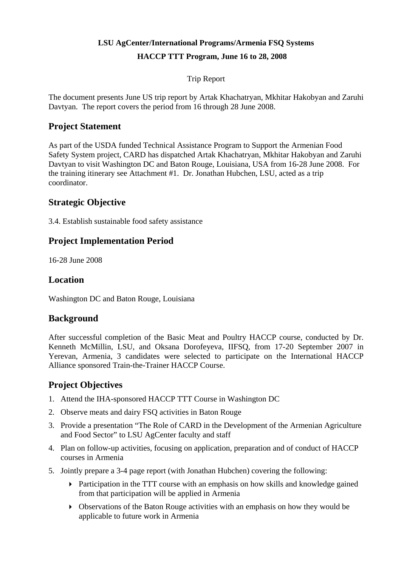# **LSU AgCenter/International Programs/Armenia FSQ Systems HACCP TTT Program, June 16 to 28, 2008**

Trip Report

The document presents June US trip report by Artak Khachatryan, Mkhitar Hakobyan and Zaruhi Davtyan. The report covers the period from 16 through 28 June 2008.

# **Project Statement**

As part of the USDA funded Technical Assistance Program to Support the Armenian Food Safety System project, CARD has dispatched Artak Khachatryan, Mkhitar Hakobyan and Zaruhi Davtyan to visit Washington DC and Baton Rouge, Louisiana, USA from 16-28 June 2008. For the training itinerary see Attachment #1. Dr. Jonathan Hubchen, LSU, acted as a trip coordinator.

# **Strategic Objective**

3.4. Establish sustainable food safety assistance

# **Project Implementation Period**

16-28 June 2008

# **Location**

Washington DC and Baton Rouge, Louisiana

# **Background**

After successful completion of the Basic Meat and Poultry HACCP course, conducted by Dr. Kenneth McMillin, LSU, and Oksana Dorofeyeva, IIFSQ, from 17-20 September 2007 in Yerevan, Armenia, 3 candidates were selected to participate on the International HACCP Alliance sponsored Train-the-Trainer HACCP Course.

# **Project Objectives**

- 1. Attend the IHA-sponsored HACCP TTT Course in Washington DC
- 2. Observe meats and dairy FSQ activities in Baton Rouge
- 3. Provide a presentation "The Role of CARD in the Development of the Armenian Agriculture and Food Sector" to LSU AgCenter faculty and staff
- 4. Plan on follow-up activities, focusing on application, preparation and of conduct of HACCP courses in Armenia
- 5. Jointly prepare a 3-4 page report (with Jonathan Hubchen) covering the following:
	- Participation in the TTT course with an emphasis on how skills and knowledge gained from that participation will be applied in Armenia
	- Observations of the Baton Rouge activities with an emphasis on how they would be applicable to future work in Armenia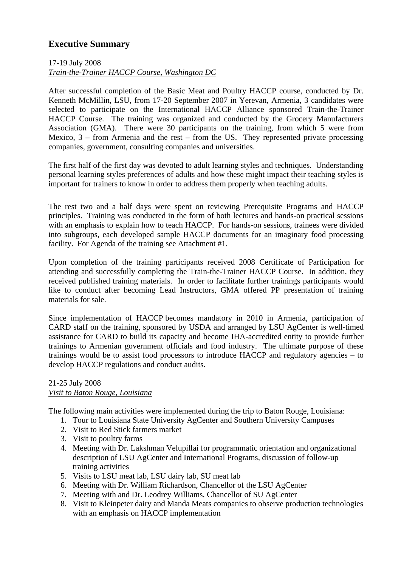# **Executive Summary**

## 17-19 July 2008 *Train-the-Trainer HACCP Course, Washington DC*

After successful completion of the Basic Meat and Poultry HACCP course, conducted by Dr. Kenneth McMillin, LSU, from 17-20 September 2007 in Yerevan, Armenia, 3 candidates were selected to participate on the International HACCP Alliance sponsored Train-the-Trainer HACCP Course. The training was organized and conducted by the Grocery Manufacturers Association (GMA). There were 30 participants on the training, from which 5 were from Mexico,  $3$  – from Armenia and the rest – from the US. They represented private processing companies, government, consulting companies and universities.

The first half of the first day was devoted to adult learning styles and techniques. Understanding personal learning styles preferences of adults and how these might impact their teaching styles is important for trainers to know in order to address them properly when teaching adults.

The rest two and a half days were spent on reviewing Prerequisite Programs and HACCP principles. Training was conducted in the form of both lectures and hands-on practical sessions with an emphasis to explain how to teach HACCP. For hands-on sessions, trainees were divided into subgroups, each developed sample HACCP documents for an imaginary food processing facility. For Agenda of the training see Attachment #1.

Upon completion of the training participants received 2008 Certificate of Participation for attending and successfully completing the Train-the-Trainer HACCP Course. In addition, they received published training materials. In order to facilitate further trainings participants would like to conduct after becoming Lead Instructors, GMA offered PP presentation of training materials for sale.

Since implementation of HACCP becomes mandatory in 2010 in Armenia, participation of CARD staff on the training, sponsored by USDA and arranged by LSU AgCenter is well-timed assistance for CARD to build its capacity and become IHA-accredited entity to provide further trainings to Armenian government officials and food industry. The ultimate purpose of these trainings would be to assist food processors to introduce HACCP and regulatory agencies – to develop HACCP regulations and conduct audits.

#### 21-25 July 2008 *Visit to Baton Rouge, Louisiana*

The following main activities were implemented during the trip to Baton Rouge, Louisiana:

- 1. Tour to Louisiana State University AgCenter and Southern University Campuses
- 2. Visit to Red Stick farmers market
- 3. Visit to poultry farms
- 4. Meeting with Dr. Lakshman Velupillai for programmatic orientation and organizational description of LSU AgCenter and International Programs, discussion of follow-up training activities
- 5. Visits to LSU meat lab, LSU dairy lab, SU meat lab
- 6. Meeting with Dr. William Richardson, Chancellor of the LSU AgCenter
- 7. Meeting with and Dr. Leodrey Williams, Chancellor of SU AgCenter
- 8. Visit to Kleinpeter dairy and Manda Meats companies to observe production technologies with an emphasis on HACCP implementation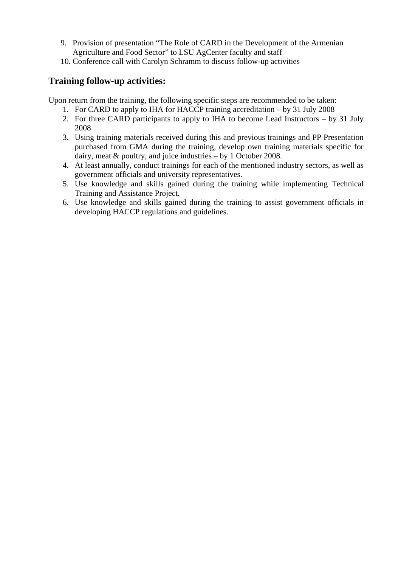- 9. Provision of presentation "The Role of CARD in the Development of the Armenian Agriculture and Food Sector" to LSU AgCenter faculty and staff
- 10. Conference call with Carolyn Schramm to discuss follow-up activities

# **Training follow-up activities:**

Upon return from the training, the following specific steps are recommended to be taken:

- 1. For CARD to apply to IHA for HACCP training accreditation by 31 July 2008
- 2. For three CARD participants to apply to IHA to become Lead Instructors by 31 July 2008
- 3. Using training materials received during this and previous trainings and PP Presentation purchased from GMA during the training, develop own training materials specific for dairy, meat & poultry, and juice industries – by 1 October 2008.
- 4. At least annually, conduct trainings for each of the mentioned industry sectors, as well as government officials and university representatives.
- 5. Use knowledge and skills gained during the training while implementing Technical Training and Assistance Project.
- 6. Use knowledge and skills gained during the training to assist government officials in developing HACCP regulations and guidelines.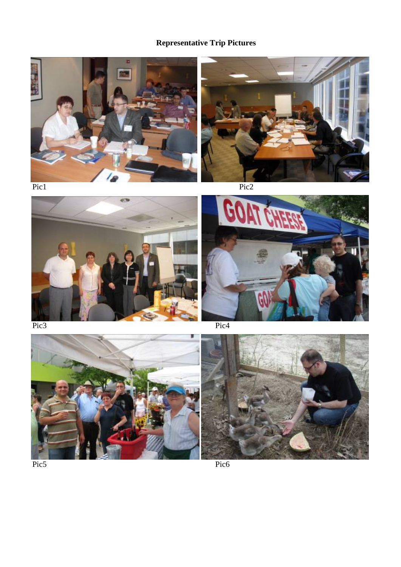# **Representative Trip Pictures**











Pic5 Pic6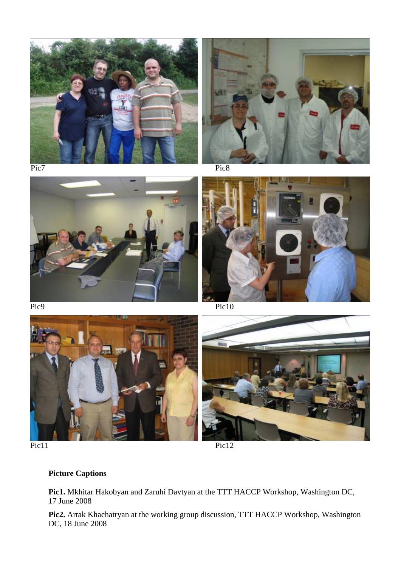











# **Picture Captions**

**Pic1.** Mkhitar Hakobyan and Zaruhi Davtyan at the TTT HACCP Workshop, Washington DC, 17 June 2008

**Pic2.** Artak Khachatryan at the working group discussion, TTT HACCP Workshop, Washington DC, 18 June 2008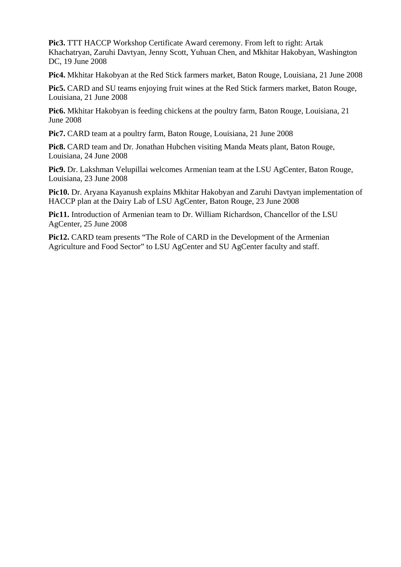**Pic3.** TTT HACCP Workshop Certificate Award ceremony. From left to right: Artak Khachatryan, Zaruhi Davtyan, Jenny Scott, Yuhuan Chen, and Mkhitar Hakobyan, Washington DC, 19 June 2008

**Pic4.** Mkhitar Hakobyan at the Red Stick farmers market, Baton Rouge, Louisiana, 21 June 2008

**Pic5.** CARD and SU teams enjoying fruit wines at the Red Stick farmers market, Baton Rouge, Louisiana, 21 June 2008

**Pic6.** Mkhitar Hakobyan is feeding chickens at the poultry farm, Baton Rouge, Louisiana, 21 June 2008

**Pic7.** CARD team at a poultry farm, Baton Rouge, Louisiana, 21 June 2008

**Pic8.** CARD team and Dr. Jonathan Hubchen visiting Manda Meats plant, Baton Rouge, Louisiana, 24 June 2008

**Pic9.** Dr. Lakshman Velupillai welcomes Armenian team at the LSU AgCenter, Baton Rouge, Louisiana, 23 June 2008

**Pic10.** Dr. Aryana Kayanush explains Mkhitar Hakobyan and Zaruhi Davtyan implementation of HACCP plan at the Dairy Lab of LSU AgCenter, Baton Rouge, 23 June 2008

**Pic11.** Introduction of Armenian team to Dr. William Richardson, Chancellor of the LSU AgCenter, 25 June 2008

**Pic12.** CARD team presents "The Role of CARD in the Development of the Armenian Agriculture and Food Sector" to LSU AgCenter and SU AgCenter faculty and staff.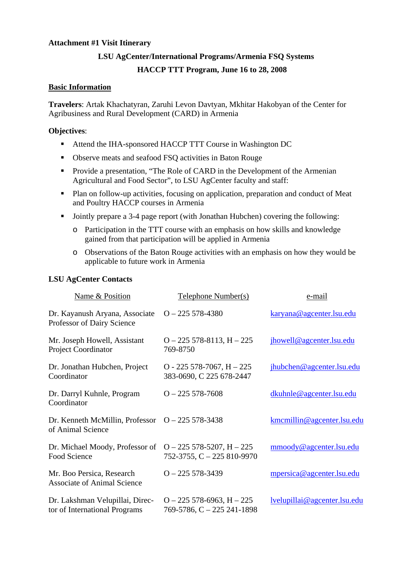#### **Attachment #1 Visit Itinerary**

#### **LSU AgCenter/International Programs/Armenia FSQ Systems**

#### **HACCP TTT Program, June 16 to 28, 2008**

#### **Basic Information**

**Travelers**: Artak Khachatyran, Zaruhi Levon Davtyan, Mkhitar Hakobyan of the Center for Agribusiness and Rural Development (CARD) in Armenia

#### **Objectives**:

- Attend the IHA-sponsored HACCP TTT Course in Washington DC
- Observe meats and seafood FSQ activities in Baton Rouge
- **Provide a presentation, "The Role of CARD in the Development of the Armenian** Agricultural and Food Sector", to LSU AgCenter faculty and staff:
- Plan on follow-up activities, focusing on application, preparation and conduct of Meat and Poultry HACCP courses in Armenia
- Jointly prepare a 3-4 page report (with Jonathan Hubchen) covering the following:
	- o Participation in the TTT course with an emphasis on how skills and knowledge gained from that participation will be applied in Armenia
	- o Observations of the Baton Rouge activities with an emphasis on how they would be applicable to future work in Armenia

#### **LSU AgCenter Contacts**

| Name & Position                                                  | Telephone Number(s)                                            | e-mail                       |
|------------------------------------------------------------------|----------------------------------------------------------------|------------------------------|
| Dr. Kayanush Aryana, Associate<br>Professor of Dairy Science     | $O - 225$ 578-4380                                             | karyana@agcenter.lsu.edu     |
| Mr. Joseph Howell, Assistant<br><b>Project Coordinator</b>       | $O - 225$ 578-8113, H $- 225$<br>769-8750                      | jhowell@agcenter.lsu.edu     |
| Dr. Jonathan Hubchen, Project<br>Coordinator                     | $O - 225$ 578-7067, H $- 225$<br>383-0690, C 225 678-2447      | jhubchen@agcenter.lsu.edu    |
| Dr. Darryl Kuhnle, Program<br>Coordinator                        | $O - 225$ 578-7608                                             | dkuhnle@agcenter.lsu.edu     |
| Dr. Kenneth McMillin, Professor<br>of Animal Science             | $O - 225$ 578-3438                                             | kmcmillin@agcenter.lsu.edu   |
| Dr. Michael Moody, Professor of<br>Food Science                  | $O - 225$ 578-5207, H $- 225$<br>$752-3755$ , C $-225810-9970$ | mmoody@agcenter.lsu.edu      |
| Mr. Boo Persica, Research<br><b>Associate of Animal Science</b>  | $O - 225578 - 3439$                                            | mpersica@agcenter.lsu.edu    |
| Dr. Lakshman Velupillai, Direc-<br>tor of International Programs | $O - 225$ 578-6963, H $- 225$<br>769-5786, C - 225 241-1898    | lvelupillai@agcenter.lsu.edu |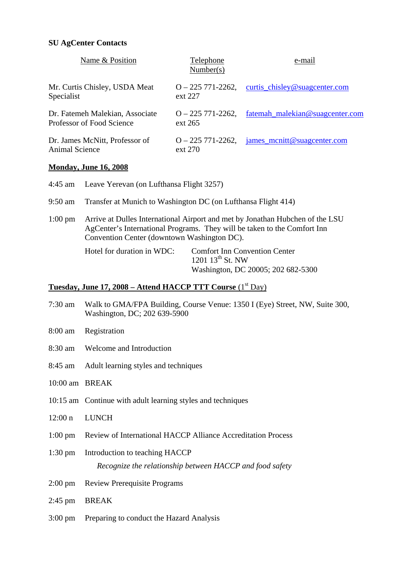#### **SU AgCenter Contacts**

| Name & Position                                              | Telephone<br>Number(s)           | e-mail                          |
|--------------------------------------------------------------|----------------------------------|---------------------------------|
| Mr. Curtis Chisley, USDA Meat<br>Specialist                  | $Q - 225771 - 2262$<br>ext 227   | curtis_chisley@suagcenter.com   |
| Dr. Fatemeh Malekian, Associate<br>Professor of Food Science | $Q - 225771 - 2262$<br>ext 265   | fatemah_malekian@suagcenter.com |
| Dr. James McNitt, Professor of<br>Animal Science             | $Q - 225771 - 2262$ ,<br>ext 270 | james_mcnitt@suagcenter.com     |

#### **Monday, June 16, 2008**

| 4:45 am           | Leave Yerevan (on Lufthansa Flight 3257)                                                                                                                                                                 |                                                                                                     |  |
|-------------------|----------------------------------------------------------------------------------------------------------------------------------------------------------------------------------------------------------|-----------------------------------------------------------------------------------------------------|--|
| 9:50 am           | Transfer at Munich to Washington DC (on Lufthansa Flight 414)                                                                                                                                            |                                                                                                     |  |
| $1:00 \text{ pm}$ | Arrive at Dulles International Airport and met by Jonathan Hubchen of the LSU<br>AgCenter's International Programs. They will be taken to the Comfort Inn<br>Convention Center (downtown Washington DC). |                                                                                                     |  |
|                   | Hotel for duration in WDC:                                                                                                                                                                               | <b>Comfort Inn Convention Center</b><br>1201 $13^{th}$ St. NW<br>Washington, DC 20005; 202 682-5300 |  |

# **Tuesday, June 17, 2008 – Attend HACCP TTT Course** (1<sup>st</sup> Day)

- 7:30 am Walk to GMA/FPA Building, Course Venue: 1350 I (Eye) Street, NW, Suite 300, Washington, DC; 202 639-5900
- 8:00 am Registration
- 8:30 am Welcome and Introduction
- 8:45 am Adult learning styles and techniques
- 10:00 am BREAK
- 10:15 am Continue with adult learning styles and techniques
- 12:00 n LUNCH
- 1:00 pm Review of International HACCP Alliance Accreditation Process
- 1:30 pm Introduction to teaching HACCP *Recognize the relationship between HACCP and food safety*
- 2:00 pm Review Prerequisite Programs
- 2:45 pm BREAK
- 3:00 pm Preparing to conduct the Hazard Analysis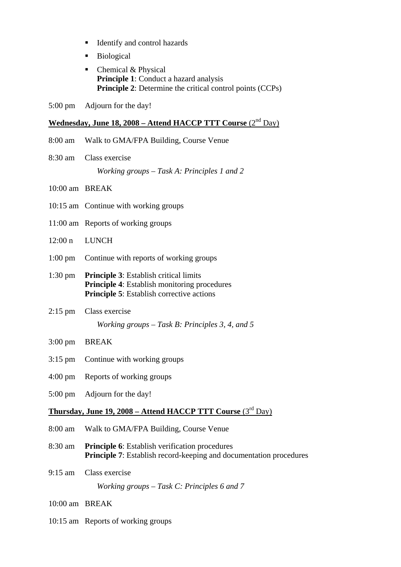- Identify and control hazards
- Biological
- Chemical & Physical **Principle 1**: Conduct a hazard analysis **Principle 2**: Determine the critical control points (CCPs)
- 5:00 pm Adjourn for the day!

# **Wednesday, June 18, 2008 – Attend HACCP TTT Course** (2nd Day)

- 8:00 am Walk to GMA/FPA Building, Course Venue
- 8:30 am Class exercise *Working groups – Task A: Principles 1 and 2*
- 10:00 am BREAK
- 10:15 am Continue with working groups
- 11:00 am Reports of working groups
- 12:00 n LUNCH
- 1:00 pm Continue with reports of working groups
- 1:30 pm **Principle 3**: Establish critical limits  **Principle 4**: Establish monitoring procedures **Principle 5**: Establish corrective actions
- 2:15 pm Class exercise

*Working groups – Task B: Principles 3, 4, and 5* 

- 3:00 pm BREAK
- 3:15 pm Continue with working groups
- 4:00 pm Reports of working groups
- 5:00 pm Adjourn for the day!

# **Thursday, June 19, 2008 – Attend HACCP TTT Course** (3rd Day)

- 8:00 am Walk to GMA/FPA Building, Course Venue
- 8:30 am **Principle 6**: Establish verification procedures **Principle 7:** Establish record-keeping and documentation procedures
- 9:15 am Class exercise

*Working groups – Task C: Principles 6 and 7* 

- 10:00 am BREAK
- 10:15 am Reports of working groups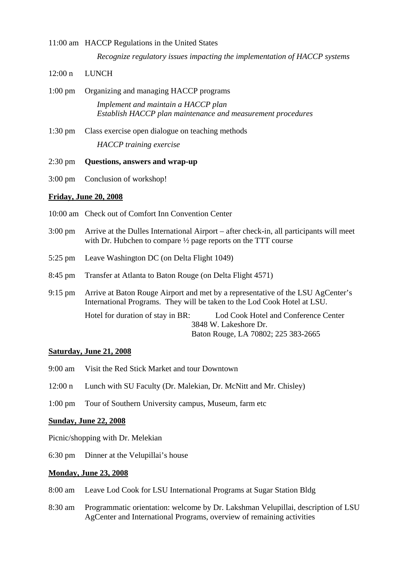# 11:00 am HACCP Regulations in the United States *Recognize regulatory issues impacting the implementation of HACCP systems*

- 12:00 n LUNCH
- 1:00 pm Organizing and managing HACCP programs *Implement and maintain a HACCP plan Establish HACCP plan maintenance and measurement procedures*
- 1:30 pm Class exercise open dialogue on teaching methods *HACCP training exercise*
- 2:30 pm **Questions, answers and wrap-up**
- 3:00 pm Conclusion of workshop!

### **Friday, June 20, 2008**

- 10:00 am Check out of Comfort Inn Convention Center
- 3:00 pm Arrive at the Dulles International Airport after check-in, all participants will meet with Dr. Hubchen to compare  $\frac{1}{2}$  page reports on the TTT course
- 5:25 pm Leave Washington DC (on Delta Flight 1049)
- 8:45 pm Transfer at Atlanta to Baton Rouge (on Delta Flight 4571)
- 9:15 pm Arrive at Baton Rouge Airport and met by a representative of the LSU AgCenter's International Programs. They will be taken to the Lod Cook Hotel at LSU. Hotel for duration of stay in BR: Lod Cook Hotel and Conference Center 3848 W. Lakeshore Dr.

Baton Rouge, LA 70802; 225 383-2665

#### **Saturday, June 21, 2008**

- 9:00 am Visit the Red Stick Market and tour Downtown
- 12:00 n Lunch with SU Faculty (Dr. Malekian, Dr. McNitt and Mr. Chisley)
- 1:00 pm Tour of Southern University campus, Museum, farm etc

#### **Sunday, June 22, 2008**

Picnic/shopping with Dr. Melekian

6:30 pm Dinner at the Velupillai's house

#### **Monday, June 23, 2008**

- 8:00 am Leave Lod Cook for LSU International Programs at Sugar Station Bldg
- 8:30 am Programmatic orientation: welcome by Dr. Lakshman Velupillai, description of LSU AgCenter and International Programs, overview of remaining activities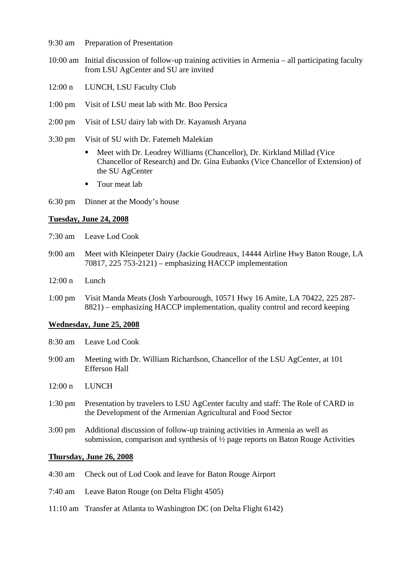- 9:30 am Preparation of Presentation
- 10:00 am Initial discussion of follow-up training activities in Armenia all participating faculty from LSU AgCenter and SU are invited
- 12:00 n LUNCH, LSU Faculty Club
- 1:00 pm Visit of LSU meat lab with Mr. Boo Persica
- 2:00 pm Visit of LSU dairy lab with Dr. Kayanush Aryana
- 3:30 pm Visit of SU with Dr. Fatemeh Malekian
	- Meet with Dr. Leodrey Williams (Chancellor), Dr. Kirkland Millad (Vice Chancellor of Research) and Dr. Gina Eubanks (Vice Chancellor of Extension) of the SU AgCenter
	- **Tour meat lab**
- 6:30 pm Dinner at the Moody's house

#### **Tuesday, June 24, 2008**

- 7:30 am Leave Lod Cook
- 9:00 am Meet with Kleinpeter Dairy (Jackie Goudreaux, 14444 Airline Hwy Baton Rouge, LA 70817, 225 753-2121) – emphasizing HACCP implementation
- 12:00 n Lunch
- 1:00 pm Visit Manda Meats (Josh Yarbourough, 10571 Hwy 16 Amite, LA 70422, 225 287- 8821) – emphasizing HACCP implementation, quality control and record keeping

#### **Wednesday, June 25, 2008**

- 8:30 am Leave Lod Cook
- 9:00 am Meeting with Dr. William Richardson, Chancellor of the LSU AgCenter, at 101 Efferson Hall
- 12:00 n LUNCH
- 1:30 pm Presentation by travelers to LSU AgCenter faculty and staff: The Role of CARD in the Development of the Armenian Agricultural and Food Sector
- 3:00 pm Additional discussion of follow-up training activities in Armenia as well as submission, comparison and synthesis of ½ page reports on Baton Rouge Activities

#### **Thursday, June 26, 2008**

- 4:30 am Check out of Lod Cook and leave for Baton Rouge Airport
- 7:40 am Leave Baton Rouge (on Delta Flight 4505)
- 11:10 am Transfer at Atlanta to Washington DC (on Delta Flight 6142)